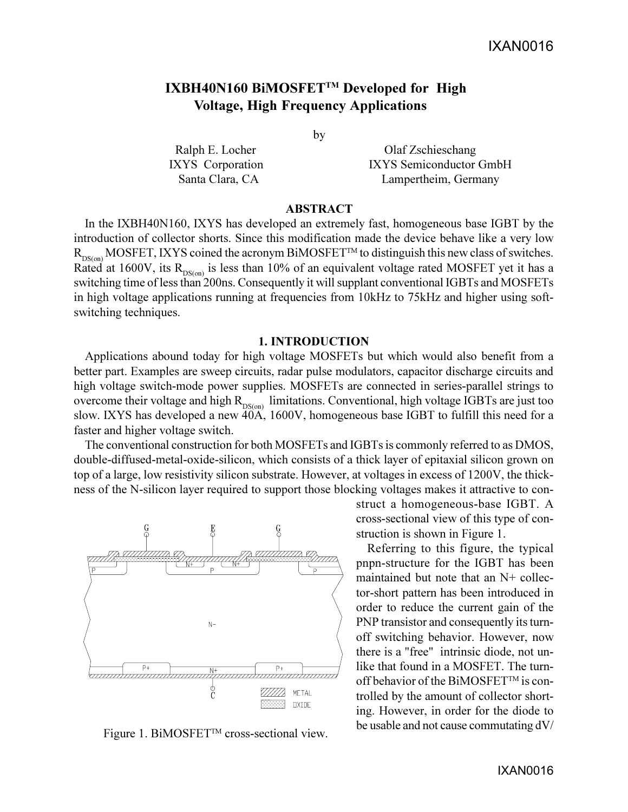# **IXBH40N160 BiMOSFETTM Developed for High Voltage, High Frequency Applications**

by

Ralph E. Locher Olaf Zschieschang IXYS Corporation IXYS Semiconductor GmbH Santa Clara, CA Lampertheim, Germany

### **ABSTRACT**

In the IXBH40N160, IXYS has developed an extremely fast, homogeneous base IGBT by the introduction of collector shorts. Since this modification made the device behave like a very low  $R_{DS(on)}$  MOSFET, IXYS coined the acronym BiMOSFET<sup>TM</sup> to distinguish this new class of switches. Rated at 1600V, its  $R_{DS(on)}$  is less than 10% of an equivalent voltage rated MOSFET yet it has a switching time of less than 200ns. Consequently it will supplant conventional IGBTs and MOSFETs in high voltage applications running at frequencies from 10kHz to 75kHz and higher using softswitching techniques.

#### **1. INTRODUCTION**

Applications abound today for high voltage MOSFETs but which would also benefit from a better part. Examples are sweep circuits, radar pulse modulators, capacitor discharge circuits and high voltage switch-mode power supplies. MOSFETs are connected in series-parallel strings to overcome their voltage and high  $R_{DS(0n)}$  limitations. Conventional, high voltage IGBTs are just too slow. IXYS has developed a new 40A, 1600V, homogeneous base IGBT to fulfill this need for a faster and higher voltage switch.

The conventional construction for both MOSFETs and IGBTs is commonly referred to as DMOS, double-diffused-metal-oxide-silicon, which consists of a thick layer of epitaxial silicon grown on top of a large, low resistivity silicon substrate. However, at voltages in excess of 1200V, the thickness of the N-silicon layer required to support those blocking voltages makes it attractive to con-



Figure 1. BiMOSFET<sup>™</sup> cross-sectional view.

struct a homogeneous-base IGBT. A cross-sectional view of this type of construction is shown in Figure 1.

Referring to this figure, the typical pnpn-structure for the IGBT has been maintained but note that an N+ collector-short pattern has been introduced in order to reduce the current gain of the PNP transistor and consequently its turnoff switching behavior. However, now there is a "free" intrinsic diode, not unlike that found in a MOSFET. The turnoff behavior of the BiMOSFET™ is controlled by the amount of collector shorting. However, in order for the diode to be usable and not cause commutating dV/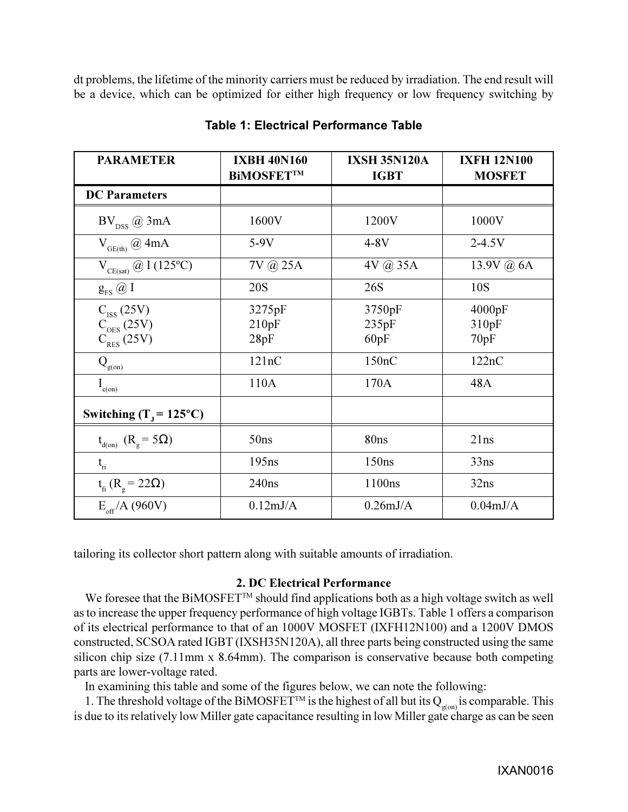dt problems, the lifetime of the minority carriers must be reduced by irradiation. The end result will be a device, which can be optimized for either high frequency or low frequency switching by

| <b>PARAMETER</b>                                                                 | <b>IXBH 40N160</b><br><b>BIMOSFETTM</b> | <b>IXSH 35N120A</b><br><b>IGBT</b> | <b>IXFH 12N100</b><br><b>MOSFET</b> |
|----------------------------------------------------------------------------------|-----------------------------------------|------------------------------------|-------------------------------------|
| <b>DC</b> Parameters                                                             |                                         |                                    |                                     |
| $\mathrm{BV}_\mathrm{DSS}$ @ 3mA                                                 | 1600V                                   | 1200V                              | 1000V                               |
| $V_{GE(th)} @ 4mA$                                                               | $5-9V$                                  | $4-8V$                             | $2 - 4.5V$                          |
| $V_{CE(sat)} @ I (125°C)$                                                        | 7V @ 25A                                | 4V @ 35A                           | 13.9V $(a)$ 6A                      |
| $g_{FS}$ $@$ I                                                                   | 20S                                     | 26S                                | 10S                                 |
| $C_{ISS}$ (25V)<br>$C_{\text{OES}}^{\text{cos}}$ (25V)<br>C <sub>RES</sub> (25V) | 3275pF<br>210pF<br>28pF                 | 3750pF<br>235pF<br>60pF            | 4000pF<br>310pF<br>70pF             |
| $Q_{g(\underline{o}\underline{n})}$                                              | 121nC                                   | 150nC                              | 122nC                               |
| $I_{c(0n)}$                                                                      | 110A                                    | 170A                               | 48A                                 |
| Switching (T <sub>1</sub> = 125 <sup>o</sup> C)                                  |                                         |                                    |                                     |
| $t_{d(0)}$ $(R_g = 5\Omega)$                                                     | 50ns                                    | 80ns                               | 21ns                                |
| $t_{\rm ri}$                                                                     | 195ns                                   | 150 <sub>ns</sub>                  | 33ns                                |
| $t_{\rm fi}$ (R <sub>ρ</sub> = 22Ω)                                              | 240ns                                   | 1100ns                             | 32ns                                |
| $E_{\text{eff}}/A(960V)$                                                         | $0.12 \text{mJ/A}$                      | $0.26 \text{mJ/A}$                 | $0.04 \text{mJ/A}$                  |

# **Table 1: Electrical Performance Table**

tailoring its collector short pattern along with suitable amounts of irradiation.

## **2. DC Electrical Performance**

We foresee that the BiMOSFET<sup>TM</sup> should find applications both as a high voltage switch as well as to increase the upper frequency performance of high voltage IGBTs. Table 1 offers a comparison of its electrical performance to that of an 1000V MOSFET (IXFH12N100) and a 1200V DMOS constructed, SCSOA rated IGBT (IXSH35N120A), all three parts being constructed using the same silicon chip size (7.11mm x 8.64mm). The comparison is conservative because both competing parts are lower-voltage rated.

In examining this table and some of the figures below, we can note the following:

1. The threshold voltage of the BiMOSFET<sup>TM</sup> is the highest of all but its Q<sub>g(on)</sub> is comparable. This is due to its relatively low Miller gate capacitance resulting in low Miller gate charge as can be seen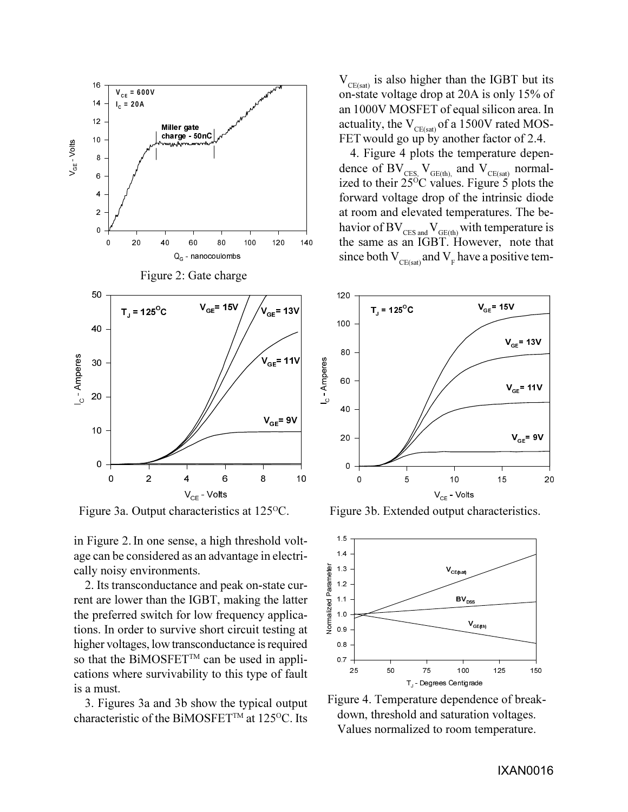

in Figure 2. In one sense, a high threshold voltage can be considered as an advantage in electrically noisy environments.

2. Its transconductance and peak on-state current are lower than the IGBT, making the latter the preferred switch for low frequency applications. In order to survive short circuit testing at higher voltages, low transconductance is required so that the BiMOSFET<sup>TM</sup> can be used in applications where survivability to this type of fault is a must.

3. Figures 3a and 3b show the typical output characteristic of the BiMOSFET™ at 125<sup>o</sup>C. Its  $V_{CF(sat)}$  is also higher than the IGBT but its on-state voltage drop at 20A is only 15% of an 1000V MOSFET of equal silicon area. In actuality, the  $V_{CE(sat)}$  of a 1500V rated MOS-FET would go up by another factor of 2.4.

4. Figure 4 plots the temperature dependence of  $BV_{CES, V_{GE(th)}$  and  $V_{CE(sat)}$  normalized to their  $25\degree$ C values. Figure 5 plots the forward voltage drop of the intrinsic diode at room and elevated temperatures. The behavior of BV $_{\text{\tiny{CES and}}}$ V $_{\text{\tiny{GE(th)}}}$  with temperature is the same as an IGBT. However, note that since both  $V_{CE(sat)}$  and  $V_F$  have a positive tem-



Figure 3a. Output characteristics at 125<sup>o</sup>C. Figure 3b. Extended output characteristics.



Figure 4. Temperature dependence of breakdown, threshold and saturation voltages. Values normalized to room temperature.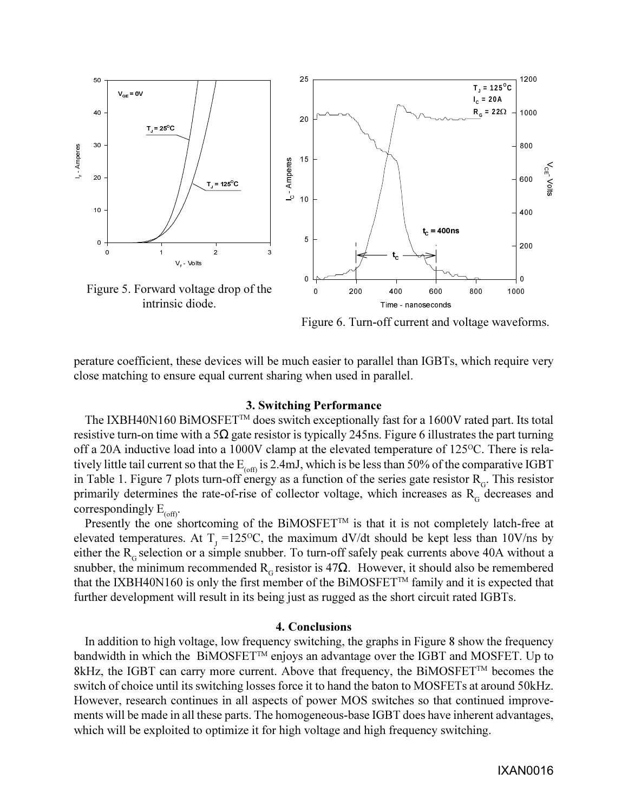

Figure 6. Turn-off current and voltage waveforms.

perature coefficient, these devices will be much easier to parallel than IGBTs, which require very close matching to ensure equal current sharing when used in parallel.

### **3. Switching Performance**

The IXBH40N160 BIMOSFET<sup>™</sup> does switch exceptionally fast for a 1600V rated part. Its total resistive turn-on time with a 5 $\Omega$  gate resistor is typically 245ns. Figure 6 illustrates the part turning off a 20A inductive load into a 1000V clamp at the elevated temperature of  $125^{\circ}$ C. There is relatively little tail current so that the  $E_{(off)}$  is 2.4mJ, which is be less than 50% of the comparative IGBT in Table 1. Figure 7 plots turn-off energy as a function of the series gate resistor  $R<sub>G</sub>$ . This resistor primarily determines the rate-of-rise of collector voltage, which increases as  $R<sub>G</sub>$  decreases and correspondingly  $E_{(off)}$ .

Presently the one shortcoming of the BiMOSFET<sup>TM</sup> is that it is not completely latch-free at elevated temperatures. At  $T_{J}$  =125°C, the maximum dV/dt should be kept less than 10V/ns by either the  $R<sub>G</sub>$  selection or a simple snubber. To turn-off safely peak currents above 40A without a snubber, the minimum recommended  $R<sub>G</sub>$  resistor is 47 $\Omega$ . However, it should also be remembered that the IXBH40N160 is only the first member of the BiMOSFET<sup>™</sup> family and it is expected that further development will result in its being just as rugged as the short circuit rated IGBTs.

#### **4. Conclusions**

In addition to high voltage, low frequency switching, the graphs in Figure 8 show the frequency bandwidth in which the  $BiMOSEET^{TM}$  enjoys an advantage over the IGBT and MOSFET. Up to 8kHz, the IGBT can carry more current. Above that frequency, the BiMOSFET<sup>TM</sup> becomes the switch of choice until its switching losses force it to hand the baton to MOSFETs at around 50kHz. However, research continues in all aspects of power MOS switches so that continued improvements will be made in all these parts. The homogeneous-base IGBT does have inherent advantages, which will be exploited to optimize it for high voltage and high frequency switching.